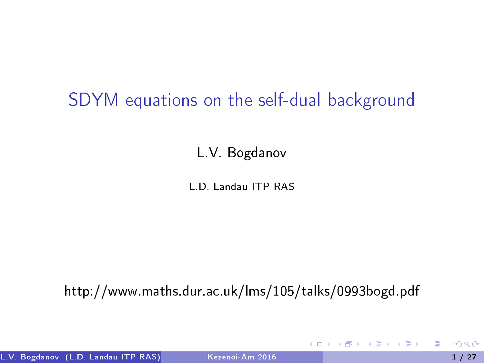## SDYM equations on the self-dual background

L.V. Bogdanov

L.D. Landau ITP RAS

http://www.maths.dur.ac.uk/lms/105/talks/0993bogd.pdf

<span id="page-0-0"></span>*同* ト イヨ ト イヨ ト

4 **D** F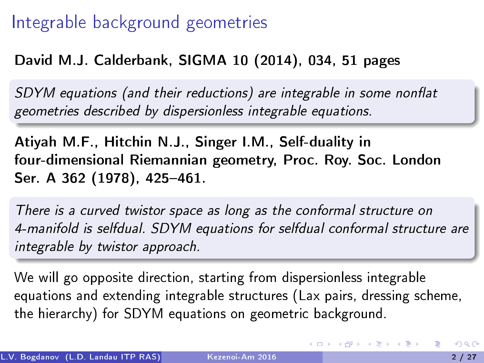## Integrable background geometries

#### David M.J. Calderbank, SIGMA 10 (2014), 034, 51 pages

SDYM equations (and their reductions) are integrable in some nonflat geometries described by dispersionless integrable equations.

Atiyah M.F., Hitchin N.J., Singer I.M., Self-duality in four-dimensional Riemannian geometry, Proc. Roy. Soc. London Ser. A 362 (1978), 425-461.

There is a curved twistor space as long as the conformal structure on 4-manifold is selfdual. SDYM equations for selfdual conformal structure are integrable by twistor approach.

We will go opposite direction, starting from dispersionless integrable equations and extending integrable structures (Lax pairs, dressing scheme, the hierarchy) for SDYM equations on geometric background.

イロト 不優 ト 不思 ト 不思 トー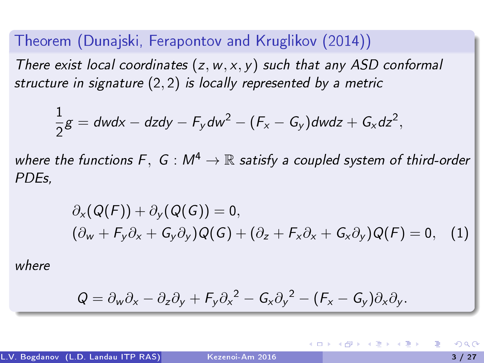Theorem (Dunajski, Ferapontov and Kruglikov (2014)) There exist local coordinates  $(z, w, x, y)$  such that any ASD conformal structure in signature (2, 2) is locally represented by a metric

$$
\frac{1}{2}g = dwdx - dzdy - F_ydw^2 - (F_x - G_y)dwdz + G_xdz^2,
$$

where the functions F, G :  $M^4 \to \mathbb{R}$  satisfy a coupled system of third-order PDEs,

$$
\partial_x(Q(F)) + \partial_y(Q(G)) = 0,(\partial_w + F_y \partial_x + G_y \partial_y)Q(G) + (\partial_z + F_x \partial_x + G_x \partial_y)Q(F) = 0,
$$
 (1)

where

<span id="page-2-0"></span>
$$
Q=\partial_w\partial_x-\partial_z\partial_y+F_y\partial_x^2-G_x\partial_y^2-(F_x-G_y)\partial_x\partial_y.
$$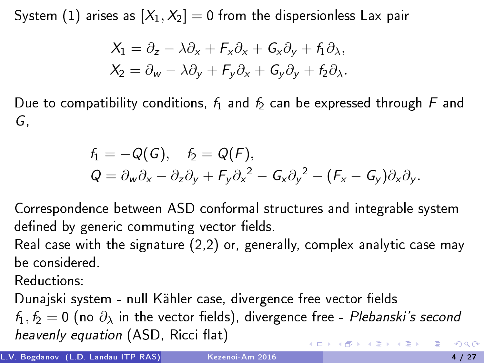System [\(1\)](#page-2-0) arises as  $[X_1, X_2] = 0$  from the dispersionless Lax pair

$$
X_1 = \partial_z - \lambda \partial_x + F_x \partial_x + G_x \partial_y + f_1 \partial_x,
$$
  
\n
$$
X_2 = \partial_w - \lambda \partial_y + F_y \partial_x + G_y \partial_y + f_2 \partial_x.
$$

Due to compatibility conditions,  $f_1$  and  $f_2$  can be expressed through F and G,

$$
f_1 = -Q(G), \quad f_2 = Q(F),
$$
  
\n
$$
Q = \partial_w \partial_x - \partial_z \partial_y + F_y \partial_x^2 - G_x \partial_y^2 - (F_x - G_y) \partial_x \partial_y.
$$

Correspondence between ASD conformal structures and integrable system defined by generic commuting vector fields.

Real case with the signature (2,2) or, generally, complex analytic case may be considered.

Reductions:

Dunajski system - null Kähler case, divergence free vector fields  $f_1, f_2 = 0$  (no  $\partial_{\lambda}$  in the vector fields), divergence free - Plebanski's second heavenly equation (ASD, Ricci flat)  $\left\{ \begin{array}{ccc} 1 & 0 & 0 \\ 0 & 1 & 0 \end{array} \right.$  $200$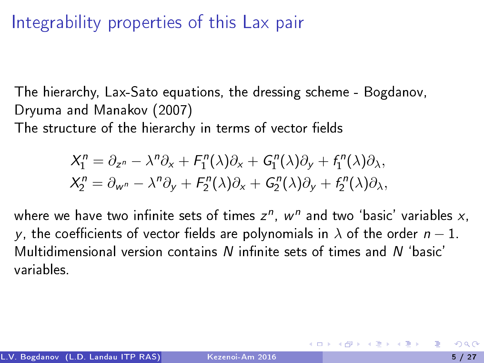# Integrability properties of this Lax pair

The hierarchy, Lax-Sato equations, the dressing scheme - Bogdanov, Dryuma and Manakov (2007)

The structure of the hierarchy in terms of vector fields

<span id="page-4-0"></span>
$$
X_1^n = \partial_{z^n} - \lambda^n \partial_x + F_1^n(\lambda)\partial_x + G_1^n(\lambda)\partial_y + f_1^n(\lambda)\partial_x,
$$
  
\n
$$
X_2^n = \partial_{w^n} - \lambda^n \partial_y + F_2^n(\lambda)\partial_x + G_2^n(\lambda)\partial_y + f_2^n(\lambda)\partial_x,
$$

where we have two infinite sets of times  $z^n$ ,  $w^n$  and two 'basic' variables  $x$ , y, the coefficients of vector fields are polynomials in  $\lambda$  of the order  $n - 1$ . Multidimensional version contains  *infinite sets of times and*  $*N*$  *'basic'* variables.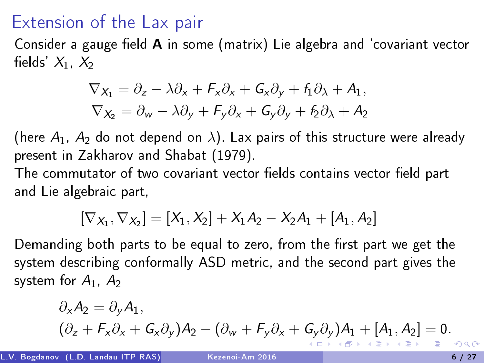## Extension of the Lax pair

Consider a gauge field  $A$  in some (matrix) Lie algebra and 'covariant vector fields'  $X_1, X_2$ 

$$
\nabla x_1 = \partial_z - \lambda \partial_x + F_x \partial_x + G_x \partial_y + f_1 \partial_x + A_1,
$$
  
\n
$$
\nabla x_2 = \partial_w - \lambda \partial_y + F_y \partial_x + G_y \partial_y + f_2 \partial_x + A_2
$$

(here  $A_1$ ,  $A_2$  do not depend on  $\lambda$ ). Lax pairs of this structure were already present in Zakharov and Shabat (1979).

The commutator of two covariant vector fields contains vector field part and Lie algebraic part,

$$
[\nabla_{X_1}, \nabla_{X_2}] = [X_1, X_2] + X_1 A_2 - X_2 A_1 + [A_1, A_2]
$$

Demanding both parts to be equal to zero, from the first part we get the system describing conformally ASD metric, and the second part gives the system for  $A_1$ ,  $A_2$ 

$$
\partial_x A_2 = \partial_y A_1,
$$
  
\n
$$
(\partial_z + F_x \partial_x + G_x \partial_y) A_2 - (\partial_w + F_y \partial_x + G_y \partial_y) A_1 + [A_1, A_2] = 0.
$$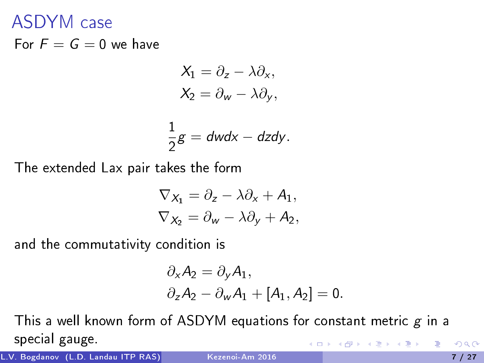## ASDYM case

For  $F = G = 0$  we have

$$
X_1 = \partial_z - \lambda \partial_x,
$$
  

$$
X_2 = \partial_w - \lambda \partial_y,
$$

$$
\frac{1}{2}g = dwdx - dzdy.
$$

The extended Lax pair takes the form

$$
\nabla_{X_1} = \partial_z - \lambda \partial_x + A_1,
$$
  
\n
$$
\nabla_{X_2} = \partial_w - \lambda \partial_y + A_2,
$$

and the commutativity condition is

<span id="page-6-0"></span>
$$
\partial_{x} A_2 = \partial_{y} A_1,
$$
  
\n
$$
\partial_{z} A_2 - \partial_{w} A_1 + [A_1, A_2] = 0.
$$

This a well known form of ASDYM equations for constant metric  $g$  in a special gauge. → 君 → → 君 →

L.V. Bogdanov (L.D. Landau ITP RAS) [Kezenoi-Am 2016](#page-0-0) 7 / 27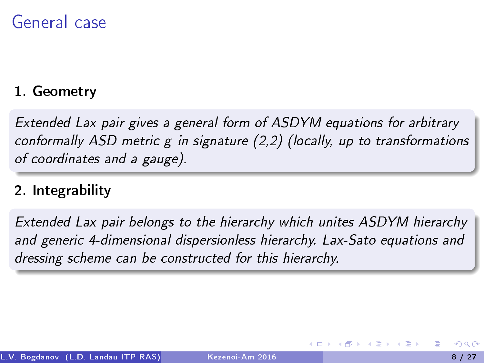## General case

#### 1. Geometry

Extended Lax pair gives a general form of ASDYM equations for arbitrary conformally ASD metric g in signature (2,2) (locally, up to transformations of coordinates and a gauge).

#### 2. Integrability

Extended Lax pair belongs to the hierarchy which unites ASDYM hierarchy and generic 4-dimensional dispersionless hierarchy. Lax-Sato equations and dressing scheme can be constructed for this hierarchy.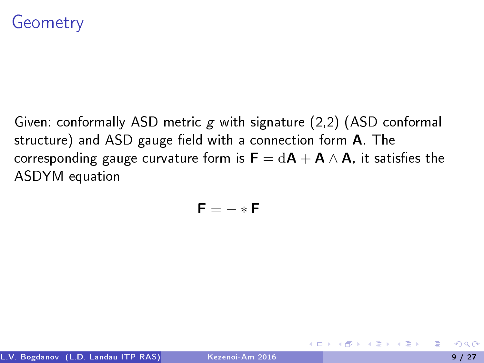Given: conformally ASD metric g with signature (2,2) (ASD conformal structure) and ASD gauge field with a connection form A. The corresponding gauge curvature form is  $F = dA + A \wedge A$ , it satisfies the ASDYM equation

$$
\mathbf{F}=-\ast\mathbf{F}
$$

 $\overline{m}$  ) and  $\overline{m}$  ) and  $\overline{m}$  ) and  $\overline{m}$  )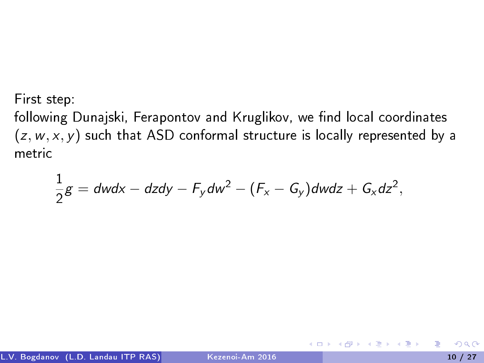First step:

following Dunajski, Ferapontov and Kruglikov, we find local coordinates  $(z, w, x, y)$  such that ASD conformal structure is locally represented by a metric

$$
\frac{1}{2}g = dwdx - dzdy - F_ydw^2 - (F_x - G_y)dwdz + G_xdz^2,
$$

イロト イ押 トイヨ トイヨト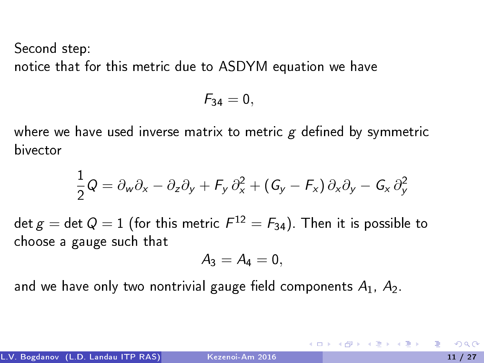Second step: notice that for this metric due to ASDYM equation we have

$$
F_{34}=0,
$$

where we have used inverse matrix to metric  $g$  defined by symmetric bivector

$$
\frac{1}{2}Q = \partial_w \partial_x - \partial_z \partial_y + F_y \partial_x^2 + (G_y - F_x) \partial_x \partial_y - G_x \partial_y^2
$$

 $\det g = \det Q = 1$  (for this metric  $F^{12} = F_{34}$ ). Then it is possible to choose a gauge such that

$$
A_3=A_4=0,\\
$$

and we have only two nontrivial gauge field components  $A_1$ ,  $A_2$ .

**K ロ ト K 伺 ト K ヨ ト K ヨ ト**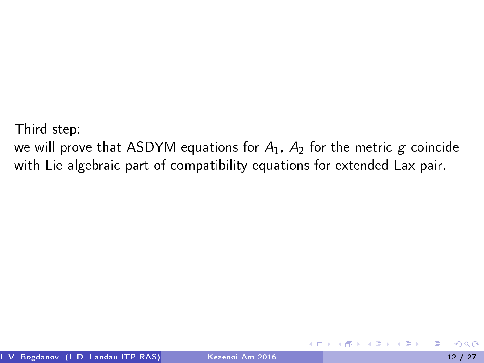Third step:

we will prove that ASDYM equations for  $A_1$ ,  $A_2$  for the metric g coincide with Lie algebraic part of compatibility equations for extended Lax pair.

化重新润滑脂

4 **D** F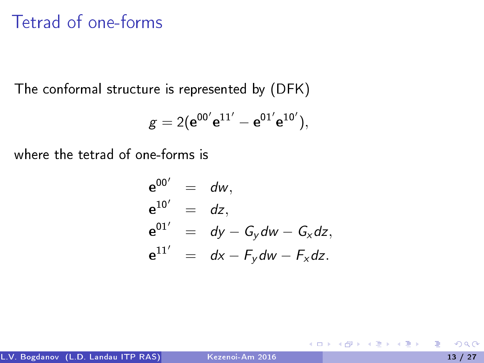## Tetrad of one-forms

The conformal structure is represented by (DFK)

$$
g=2(e^{00'}e^{11'}-e^{01'}e^{10'}),
$$

where the tetrad of one-forms is

$$
\begin{array}{rcl}\n\mathbf{e}^{00'} & = & d\mathbf{w}, \\
\mathbf{e}^{10'} & = & dz, \\
\mathbf{e}^{01'} & = & dy - G_y \, dw - G_x \, dz, \\
\mathbf{e}^{11'} & = & dx - F_y \, dw - F_x \, dz.\n\end{array}
$$

э

 $A \equiv \mathbf{1} \times \mathbf{1} \oplus \mathbf{1} \times \mathbf{1} \oplus \mathbf{1} \times \mathbf{1} \oplus \mathbf{1} \times \mathbf{1} \oplus \mathbf{1}$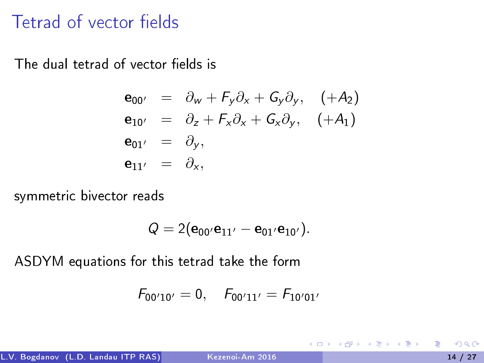## Tetrad of vector fields

The dual tetrad of vector fields is

$$
\begin{array}{rcl}\n\mathbf{e}_{00'} & = & \partial_w + F_y \partial_x + G_y \partial_y, \quad (+A_2) \\
\mathbf{e}_{10'} & = & \partial_z + F_x \partial_x + G_x \partial_y, \quad (+A_1) \\
\mathbf{e}_{01'} & = & \partial_y, \\
\mathbf{e}_{11'} & = & \partial_x,\n\end{array}
$$

symmetric bivector reads

$$
Q=2({\bf e}_{00'}{\bf e}_{11'}-{\bf e}_{01'}{\bf e}_{10'}).
$$

ASDYM equations for this tetrad take the form

$$
F_{00'10'}=0, \quad F_{00'11'}=F_{10'01'}
$$

医下环医下

4 **D** F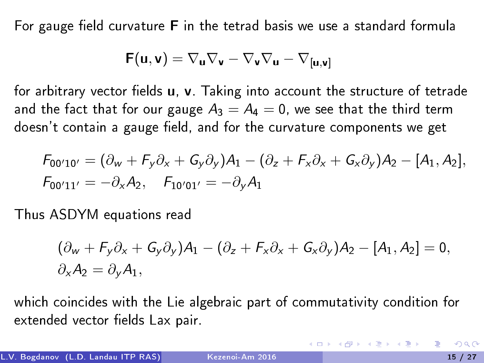For gauge field curvature  $F$  in the tetrad basis we use a standard formula

$$
\textbf{F}(\textbf{u}, \textbf{v}) = \nabla_{\textbf{u}} \nabla_{\textbf{v}} - \nabla_{\textbf{v}} \nabla_{\textbf{u}} - \nabla_{[\textbf{u}, \textbf{v}]}
$$

for arbitrary vector fields  $u$ ,  $v$ . Taking into account the structure of tetrade and the fact that for our gauge  $A_3 = A_4 = 0$ , we see that the third term doesn't contain a gauge field, and for the curvature components we get

$$
F_{00'10'} = (\partial_w + F_y \partial_x + G_y \partial_y) A_1 - (\partial_z + F_x \partial_x + G_x \partial_y) A_2 - [A_1, A_2],
$$
  

$$
F_{00'11'} = -\partial_x A_2, \quad F_{10'01'} = -\partial_y A_1
$$

Thus ASDYM equations read

$$
(\partial_w + F_y \partial_x + G_y \partial_y)A_1 - (\partial_z + F_x \partial_x + G_x \partial_y)A_2 - [A_1, A_2] = 0,
$$
  

$$
\partial_x A_2 = \partial_y A_1,
$$

which coincides with the Lie algebraic part of commutativity condition for extended vector fields Lax pair.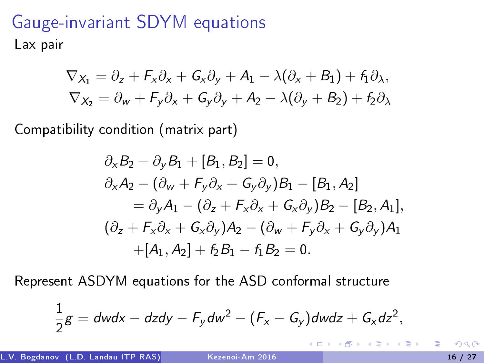# Gauge-invariant SDYM equations Lax pair

$$
\nabla_{X_1} = \partial_z + F_x \partial_x + G_x \partial_y + A_1 - \lambda(\partial_x + B_1) + f_1 \partial_x,
$$
  
\n
$$
\nabla_{X_2} = \partial_w + F_y \partial_x + G_y \partial_y + A_2 - \lambda(\partial_y + B_2) + f_2 \partial_x
$$

Compatibility condition (matrix part)

$$
\partial_{x}B_{2} - \partial_{y}B_{1} + [B_{1}, B_{2}] = 0,\n\partial_{x}A_{2} - (\partial_{w} + F_{y}\partial_{x} + G_{y}\partial_{y})B_{1} - [B_{1}, A_{2}]\n= \partial_{y}A_{1} - (\partial_{z} + F_{x}\partial_{x} + G_{x}\partial_{y})B_{2} - [B_{2}, A_{1}],\n(\partial_{z} + F_{x}\partial_{x} + G_{x}\partial_{y})A_{2} - (\partial_{w} + F_{y}\partial_{x} + G_{y}\partial_{y})A_{1}\n+[A_{1}, A_{2}] + f_{2}B_{1} - f_{1}B_{2} = 0.
$$

Represent ASDYM equations for the ASD conformal structure

$$
\frac{1}{2}g = dwdx - dzdy - F_ydw^2 - (F_x - G_y)dwdz + G_xdz^2,
$$

1

イロト イ押 トイヨ トイヨト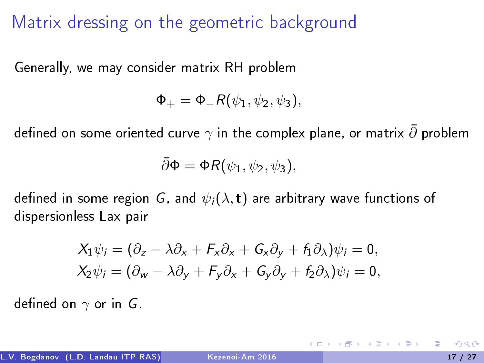Matrix dressing on the geometric background

Generally, we may consider matrix RH problem

 $\Phi_+ = \Phi_- R(\psi_1, \psi_2, \psi_3),$ 

defined on some oriented curve  $\gamma$  in the complex plane, or matrix  $\bar{\partial}$  problem

$$
\bar{\partial}\Phi = \Phi R(\psi_1, \psi_2, \psi_3),
$$

defined in some region G, and  $\psi_i(\lambda, t)$  are arbitrary wave functions of dispersionless Lax pair

$$
X_1 \psi_i = (\partial_z - \lambda \partial_x + F_x \partial_x + G_x \partial_y + f_1 \partial_x) \psi_i = 0,
$$
  
\n
$$
X_2 \psi_i = (\partial_w - \lambda \partial_y + F_y \partial_x + G_y \partial_y + f_2 \partial_x) \psi_i = 0,
$$

defined on  $\gamma$  or in G.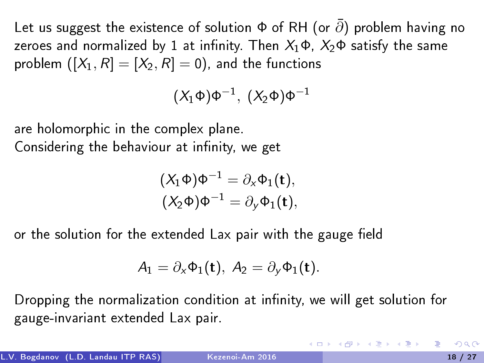Let us suggest the existence of solution  $\Phi$  of RH (or  $\bar{\partial}$ ) problem having no zeroes and normalized by 1 at infinity. Then  $X_1\Phi$ ,  $X_2\Phi$  satisfy the same problem  $([X_1, R] = [X_2, R] = 0)$ , and the functions

$$
(X_1\Phi)\Phi^{-1},\ (X_2\Phi)\Phi^{-1}
$$

are holomorphic in the complex plane. Considering the behaviour at infinity, we get

$$
(X_1\Phi)\Phi^{-1}=\partial_x\Phi_1(t),
$$
  

$$
(X_2\Phi)\Phi^{-1}=\partial_y\Phi_1(t),
$$

or the solution for the extended Lax pair with the gauge field

$$
A_1=\partial_x\Phi_1(\mathbf{t}),\ A_2=\partial_y\Phi_1(\mathbf{t}).
$$

Dropping the normalization condition at infinity, we will get solution for gauge-invariant extended Lax pair.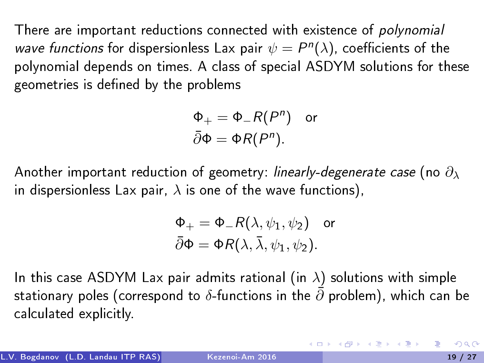There are important reductions connected with existence of polynomial wave functions for dispersionless Lax pair  $\psi = P^{n}(\lambda)$ , coefficients of the polynomial depends on times. A class of special ASDYM solutions for these geometries is defined by the problems

$$
\Phi_+ = \Phi_- R(P^n) \quad \text{or} \quad \overline{\partial} \Phi = \Phi R(P^n).
$$

Another important reduction of geometry: linearly-degenerate case (no  $\partial_{\lambda}$ ) in dispersionless Lax pair,  $\lambda$  is one of the wave functions),

$$
\Phi_+ = \Phi_- R(\lambda, \psi_1, \psi_2) \quad \text{or} \quad \tilde{\partial}\Phi = \Phi R(\lambda, \bar{\lambda}, \psi_1, \psi_2).
$$

In this case ASDYM Lax pair admits rational (in  $\lambda$ ) solutions with simple stationary poles (correspond to  $\delta$ -functions in the  $\bar{\partial}$  problem), which can be calculated explicitly.

イロメ イ部メ イ君メ イ君メー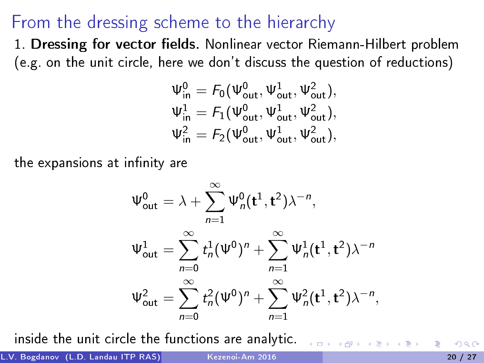## From the dressing scheme to the hierarchy

1. Dressing for vector fields. Nonlinear vector Riemann-Hilbert problem (e.g. on the unit circle, here we don't discuss the question of reductions)

$$
\begin{array}{l} \Psi^0_{in}= \mathit{F}_0(\Psi^0_{out},\Psi^1_{out},\Psi^2_{out}), \\ \Psi^1_{in}= \mathit{F}_1(\Psi^0_{out},\Psi^1_{out},\Psi^2_{out}), \\ \Psi^2_{in}= \mathit{F}_2(\Psi^0_{out},\Psi^1_{out},\Psi^2_{out}), \end{array}
$$

the expansions at infinity are

$$
\Psi_{\text{out}}^{0} = \lambda + \sum_{n=1}^{\infty} \Psi_{n}^{0}(t^{1}, t^{2}) \lambda^{-n},
$$
  

$$
\Psi_{\text{out}}^{1} = \sum_{n=0}^{\infty} t_{n}^{1} (\Psi^{0})^{n} + \sum_{n=1}^{\infty} \Psi_{n}^{1}(t^{1}, t^{2}) \lambda^{-n}
$$
  

$$
\Psi_{\text{out}}^{2} = \sum_{n=0}^{\infty} t_{n}^{2} (\Psi^{0})^{n} + \sum_{n=1}^{\infty} \Psi_{n}^{2}(t^{1}, t^{2}) \lambda^{-n},
$$

inside the unit circle the functions are analytic.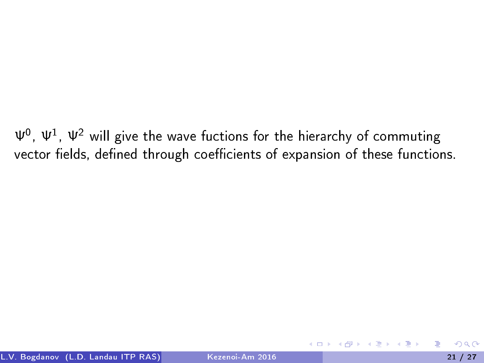$\Psi^0$ ,  $\Psi^1$ ,  $\Psi^2$  will give the wave fuctions for the hierarchy of commuting vector fields, defined through coefficients of expansion of these functions.

医单位 化重变

4 0 8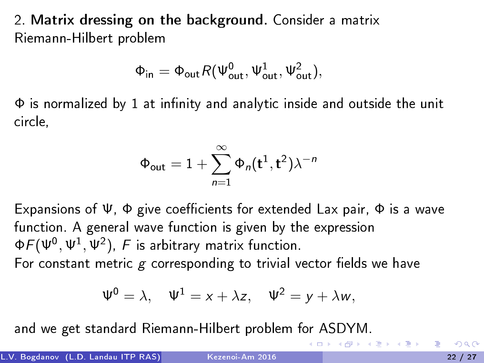2. Matrix dressing on the background. Consider a matrix Riemann-Hilbert problem

$$
\Phi_{in}=\Phi_{out}\textit{R}(\Psi_{out}^{0},\Psi_{out}^{1},\Psi_{out}^{2}),
$$

 $\Phi$  is normalized by 1 at infinity and analytic inside and outside the unit circle,

$$
\Phi_{\sf out}=1+\sum_{n=1}^\infty \Phi_n({\bf t}^1,{\bf t}^2)\lambda^{-n}
$$

Expansions of  $\Psi$ ,  $\Phi$  give coefficients for extended Lax pair,  $\Phi$  is a wave function. A general wave function is given by the expression  $\Phi \digamma (\Psi^0, \Psi^1, \Psi^2), \ F$  is arbitrary matrix function. For constant metric  $g$  corresponding to trivial vector fields we have

$$
\Psi^0 = \lambda, \quad \Psi^1 = x + \lambda z, \quad \Psi^2 = y + \lambda w,
$$

and we get standard Riemann-Hilbert problem for ASDYM.

**←ロト → 何ト → ヨト → ヨト**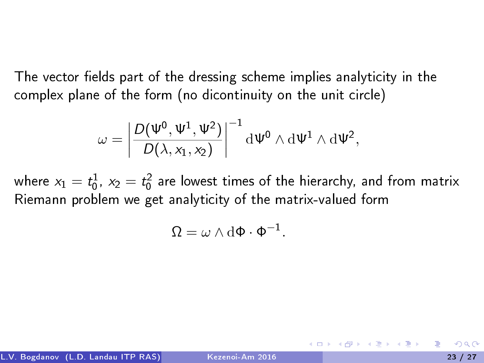The vector fields part of the dressing scheme implies analyticity in the complex plane of the form (no dicontinuity on the unit circle)

$$
\omega = \left|\frac{D(\Psi^0,\Psi^1,\Psi^2)}{D(\lambda,x_1,x_2)}\right|^{-1} \mathrm{d} \Psi^0 \wedge \mathrm{d} \Psi^1 \wedge \mathrm{d} \Psi^2,
$$

where  $x_1=t_0^1$ ,  $x_2=t_0^2$  are lowest times of the hierarchy, and from matrix Riemann problem we get analyticity of the matrix-valued form

$$
\Omega = \omega \wedge d\Phi \cdot \Phi^{-1}.
$$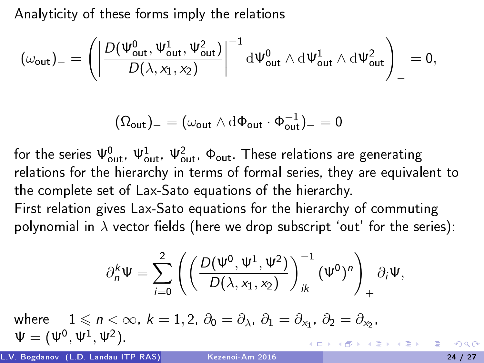Analyticity of these forms imply the relations

$$
(\omega_{\text{out}})_-=\left(\left|\frac{D(\Psi_{\text{out}}^0,\Psi_{\text{out}}^1,\Psi_{\text{out}}^2)}{D(\lambda,x_1,x_2)}\right|^{-1}\mathrm{d}\Psi_{\text{out}}^0\wedge\mathrm{d}\Psi_{\text{out}}^1\wedge\mathrm{d}\Psi_{\text{out}}^2\right)_-=0,
$$

$$
(\Omega_{out})_{-}=(\omega_{out}\wedge\mathrm{d}\Phi_{out}\cdot\Phi_{out}^{-1})_{-}=0
$$

for the series  $\Psi_{\sf out}^0$ ,  $\Psi_{\sf out}^1$ ,  $\Psi_{\sf out}^2$ ,  $\Phi_{\sf out}$ . These relations are generating relations for the hierarchy in terms of formal series, they are equivalent to the complete set of Lax-Sato equations of the hierarchy. First relation gives Lax-Sato equations for the hierarchy of commuting

polynomial in  $\lambda$  vector fields (here we drop subscript 'out' for the series):

$$
\partial_n^k \Psi = \sum_{i=0}^2 \left( \left( \frac{D(\Psi^0, \Psi^1, \Psi^2)}{D(\lambda, x_1, x_2)} \right)_{ik}^{-1} (\Psi^0)^n \right)_+ \partial_i \Psi,
$$

where  $1 \leqslant n < \infty$ ,  $k = 1, 2, \ \partial_0 = \partial_{\lambda}, \ \partial_1 = \partial_{x_1}, \ \partial_2 = \partial_{x_2},$  $\Psi = (\Psi^0, \Psi^1, \Psi^2)$ K ロ > K 個 > K 경 > K 경 > 시 경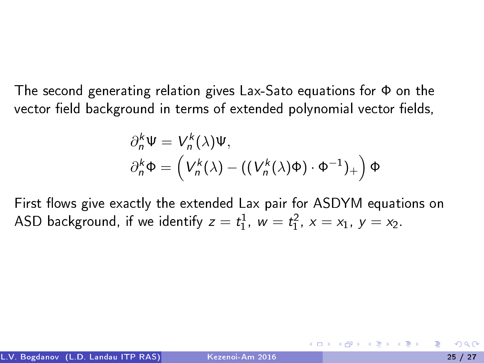The second generating relation gives Lax-Sato equations for Φ on the vector field background in terms of extended polynomial vector fields,

$$
\partial_n^k \Psi = V_n^k(\lambda) \Psi,
$$
  

$$
\partial_n^k \Phi = \left( V_n^k(\lambda) - \left( \left( V_n^k(\lambda) \Phi \right) \cdot \Phi^{-1} \right)_+ \right) \Phi
$$

First flows give exactly the extended Lax pair for ASDYM equations on ASD background, if we identify  $z = t_1^1$ ,  $w = t_1^2$ ,  $x = x_1$ ,  $y = x_2$ .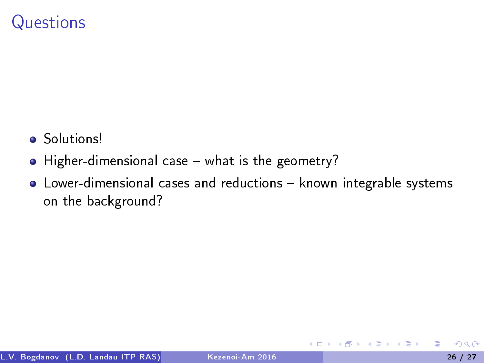## **Questions**

- Solutions!
- $\bullet$  Higher-dimensional case  $-$  what is the geometry?
- Lower-dimensional cases and reductions known integrable systems on the background?

 $\leftarrow$   $\Box$